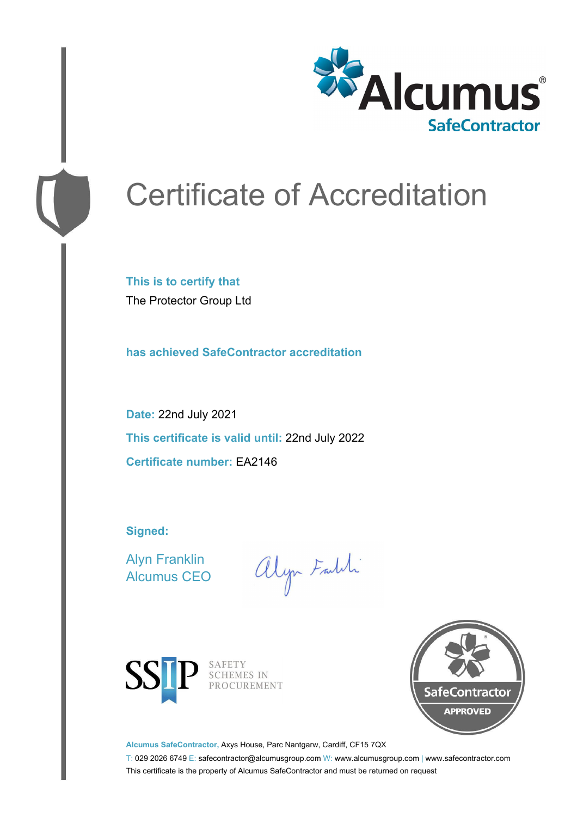

# Certificate of Accreditation

**This is to certify that** The Protector Group Ltd

**has achieved SafeContractor accreditation**

**Date:** 22nd July 2021 **This certificate is valid until:** 22nd July 2022 **Certificate number:** EA2146

**Signed:**

Alyn Franklin Alcumus CEO

alyn Faith



SAFETY<br>SCHEMES IN PROCUREMENT



**Alcumus SafeContractor,** Axys House, Parc Nantgarw, Cardiff, CF15 7QX

T: 029 2026 6749 E: safecontractor@alcumusgroup.com W: www.alcumusgroup.com | www.safecontractor.com This certificate is the property of Alcumus SafeContractor and must be returned on request